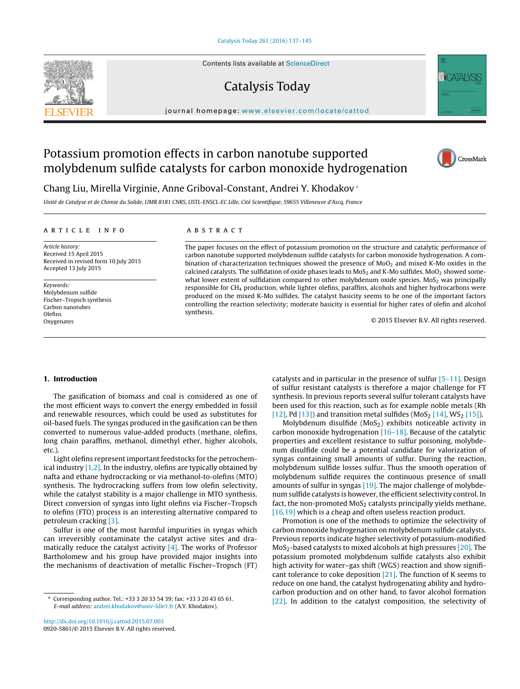Contents lists available at [ScienceDirect](http://www.sciencedirect.com/science/journal/09205861)

## Catalysis Today

iournal homepage: [www.elsevier.com/locate/cattod](http://www.elsevier.com/locate/cattod)

# Potassium promotion effects in carbon nanotube supported molybdenum sulfide catalysts for carbon monoxide hydrogenation

### Chang Liu, Mirella Virginie, Anne Griboval-Constant, Andrei Y. Khodakov<sup>∗</sup>

Unité de Catalyse et de Chimie du Solide, UMR 8181 CNRS, USTL-ENSCL-EC Lille, Cité Scientifique, 59655 Villeneuve d'Ascq, France

#### a r t i c l e i n f o

Article history: Received 15 April 2015 Received in revised form 10 July 2015 Accepted 13 July 2015

Keywords: Molybdenum sulfide Fischer–Tropsch synthesis Carbon nanotubes Olefins Oxygenates

### A B S T R A C T

The paper focuses on the effect of potassium promotion on the structure and catalytic performance of carbon nanotube supported molybdenum sulfide catalysts for carbon monoxide hydrogenation. A combination of characterization techniques showed the presence of  $MoO<sub>2</sub>$  and mixed K-Mo oxides in the calcined catalysts. The sulfidation of oxide phases leads to  $M$ o $S<sub>2</sub>$  and K-Mo sulfides. Mo $O<sub>2</sub>$  showed somewhat lower extent of sulfidation compared to other molybdenum oxide species.  $MoS<sub>2</sub>$  was principally responsible for CH4 production, while lighter olefins, paraffins, alcohols and higher hydrocarbons were produced on the mixed K-Mo sulfides. The catalyst basicity seems to be one of the important factors controlling the reaction selectivity; moderate basicity is essential for higher rates of olefin and alcohol synthesis.

© 2015 Elsevier B.V. All rights reserved.

#### **1. Introduction**

The gasification of biomass and coal is considered as one of the most efficient ways to convert the energy embedded in fossil and renewable resources, which could be used as substitutes for oil-based fuels. The syngas produced in the gasification can be then converted to numerous value-added products (methane, olefins, long chain paraffins, methanol, dimethyl ether, higher alcohols, etc.).

Light olefins represent important feedstocks for the petrochemical industry  $[1,2]$ . In the industry, olefins are typically obtained by nafta and ethane hydrocracking or via methanol-to-olefins (MTO) synthesis. The hydrocracking suffers from low olefin selectivity, while the catalyst stability is a major challenge in MTO synthesis. Direct conversion of syngas into light olefins via Fischer–Tropsch to olefins (FTO) process is an interesting alternative compared to petroleum cracking [\[3\].](#page--1-0)

Sulfur is one of the most harmful impurities in syngas which can irreversibly contaminate the catalyst active sites and dramatically reduce the catalyst activity  $[4]$ . The works of Professor Bartholomew and his group have provided major insights into the mechanisms of deactivation of metallic Fischer–Tropsch (FT)

[\[16,19\]](#page--1-0) which is a cheap and often useless reaction product. Promotion is one of the methods to optimize the selectivity of carbon monoxide hydrogenation on molybdenum sulfide catalysts. Previous reports indicate higher selectivity of potassium-modified  $MoS<sub>2</sub>$ -based catalysts to mixed alcohols at high pressures [\[20\].](#page--1-0) The potassium promoted molybdenum sulfide catalysts also exhibit high activity for water–gas shift (WGS) reaction and show significant tolerance to coke deposition [\[21\].](#page--1-0) The function of K seems to reduce on one hand, the catalyst hydrogenating ability and hydrocarbon production and on other hand, to favor alcohol formation [\[22\].](#page--1-0) In addition to the catalyst composition, the selectivity of

catalysts and in particular in the presence of sulfur [\[5–11\].](#page--1-0) Design of sulfur resistant catalysts is therefore a major challenge for FT synthesis. In previous reports several sulfur tolerant catalysts have been used for this reaction, such as for example noble metals (Rh [\[12\],](#page--1-0) Pd [\[13\]\)](#page--1-0) and transition metal sulfides (MoS<sub>2</sub> [\[14\],](#page--1-0) WS<sub>2</sub> [\[15\]\).](#page--1-0) Molybdenum disulfide  $(MoS<sub>2</sub>)$  exhibits noticeable activity in carbon monoxide hydrogenation [\[16–18\].](#page--1-0) Because of the catalytic properties and excellent resistance to sulfur poisoning, molybdenum disulfide could be a potential candidate for valorization of syngas containing small amounts of sulfur. During the reaction, molybdenum sulfide losses sulfur. Thus the smooth operation of molybdenum sulfide requires the continuous presence of small amounts of sulfur in syngas [\[19\].](#page--1-0) The major challenge of molybdenum sulfide catalysts is however, the efficient selectivity control. In fact, the non-promoted  $MoS<sub>2</sub>$  catalysts principally yields methane,







<sup>∗</sup> Corresponding author. Tel.: +33 3 20 33 54 39; fax: +33 3 20 43 65 61. E-mail address: [andrei.khodakov@univ-lille1.fr](mailto:andrei.khodakov@univ-lille1.fr) (A.Y. Khodakov).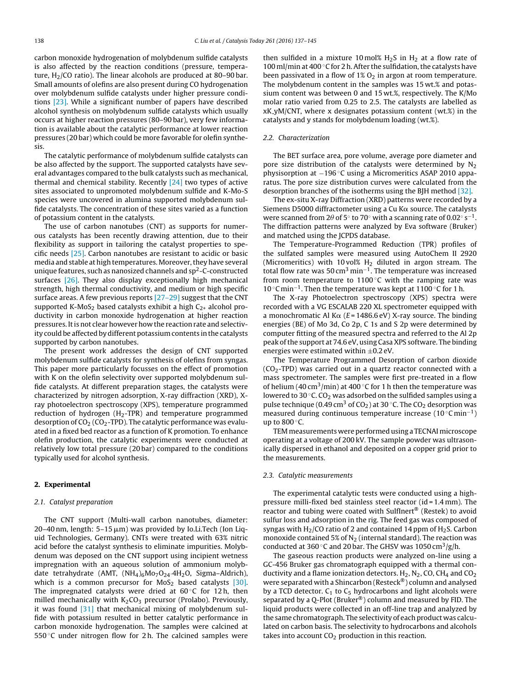carbon monoxide hydrogenation of molybdenum sulfide catalysts is also affected by the reaction conditions (pressure, temperature,  $H<sub>2</sub>/CO$  ratio). The linear alcohols are produced at 80–90 bar. Small amounts of olefins are also present during CO hydrogenation over molybdenum sulfide catalysts under higher pressure conditions [\[23\].](#page--1-0) While a significant number of papers have described alcohol synthesis on molybdenum sulfide catalysts which usually occurs at higher reaction pressures (80–90 bar), very few information is available about the catalytic performance at lower reaction pressures (20 bar) which could be more favorable for olefin synthesis.

The catalytic performance of molybdenum sulfide catalysts can be also affected by the support. The supported catalysts have several advantages compared to the bulk catalysts such as mechanical, thermal and chemical stability. Recently [\[24\]](#page--1-0) two types of active sites associated to unpromoted molybdenum sulfide and K-Mo-S species were uncovered in alumina supported molybdenum sulfide catalysts. The concentration of these sites varied as a function of potassium content in the catalysts.

The use of carbon nanotubes (CNT) as supports for numerous catalysts has been recently drawing attention, due to their flexibility as support in tailoring the catalyst properties to specific needs [\[25\].](#page--1-0) Carbon nanotubes are resistant to acidic or basic media and stable at high temperatures. Moreover, they have several unique features, such as nanosized channels and sp<sup>2</sup>-C-constructed surfaces [\[26\].](#page--1-0) They also display exceptionally high mechanical strength, high thermal conductivity, and medium or high specific surface areas. A few previous reports [\[27–29\]](#page--1-0) suggest that the CNT supported K-MoS<sub>2</sub> based catalysts exhibit a high  $C_{2+}$  alcohol productivity in carbon monoxide hydrogenation at higher reaction pressures.Itis not clear however how the reaction rate and selectivity could be affected by different potassium contents in the catalysts supported by carbon nanotubes.

The present work addresses the design of CNT supported molybdenum sulfide catalysts for synthesis of olefins from syngas. This paper more particularly focusses on the effect of promotion with K on the olefin selectivity over supported molybdenum sulfide catalysts. At different preparation stages, the catalysts were characterized by nitrogen adsorption, X-ray diffraction (XRD), Xray photoelectron spectroscopy (XPS), temperature programmed reduction of hydrogen  $(H_2-TPR)$  and temperature programmed desorption of  $CO<sub>2</sub>$  (CO<sub>2</sub>-TPD). The catalytic performance was evaluated in a fixed bed reactor as a function of K promotion. To enhance olefin production, the catalytic experiments were conducted at relatively low total pressure (20 bar) compared to the conditions typically used for alcohol synthesis.

#### **2. Experimental**

#### 2.1. Catalyst preparation

The CNT support (Multi-wall carbon nanotubes, diameter: 20–40 nm, length: 5–15 µm) was provided by Io.Li.Tech (Ion Liquid Technologies, Germany). CNTs were treated with 63% nitric acid before the catalyst synthesis to eliminate impurities. Molybdenum was deposed on the CNT support using incipient wetness impregnation with an aqueous solution of ammonium molybdate tetrahydrate (AMT, (NH<sub>4</sub>)<sub>6</sub>Mo<sub>7</sub>O<sub>24</sub>.4H<sub>2</sub>O, Sigma-Aldrich), which is a common precursor for  $MoS<sub>2</sub>$  based catalysts [\[30\].](#page--1-0) The impregnated catalysts were dried at  $60^{\circ}$ C for 12h, then milled mechanically with  $K_2CO_3$  precursor (Prolabo). Previously, it was found [\[31\]](#page--1-0) that mechanical mixing of molybdenum sulfide with potassium resulted in better catalytic performance in carbon monoxide hydrogenation. The samples were calcined at 550  $\degree$ C under nitrogen flow for 2 h. The calcined samples were then sulfided in a mixture 10 mol%  $H_2S$  in  $H_2$  at a flow rate of 100 ml/min at 400 ℃ for 2 h. After the sulfidation, the catalysts have been passivated in a flow of  $1\% O_2$  in argon at room temperature. The molybdenum content in the samples was 15 wt.% and potassium content was between 0 and 15 wt.%, respectively. The K/Mo molar ratio varied from 0.25 to 2.5. The catalysts are labelled as xK yM/CNT, where x designates potassium content (wt.%) in the catalysts and y stands for molybdenum loading (wt.%).

#### 2.2. Characterization

The BET surface area, pore volume, average pore diameter and pore size distribution of the catalysts were determined by  $N_2$ physisorption at −196 °C using a Micromeritics ASAP 2010 apparatus. The pore size distribution curves were calculated from the desorption branches of the isotherms using the BJH method [\[32\].](#page--1-0)

The ex-situ X-ray Diffraction (XRD) patterns were recorded by a Siemens D5000 diffractometer using a Cu K $\alpha$  source. The catalysts were scanned from 2 $\theta$  of 5 $^{\circ}$  to 70 $^{\circ}$  with a scanning rate of 0.02 $^{\circ}$  s $^{-1}.$ The diffraction patterns were analyzed by Eva software (Bruker) and matched using the JCPDS database.

The Temperature-Programmed Reduction (TPR) profiles of the sulfated samples were measured using AutoChem II 2920 (Micromeritics) with 10 vol%  $H_2$  diluted in argon stream. The total flow rate was 50 cm<sup>3</sup> min<sup>-1</sup>. The temperature was increased from room temperature to 1100 $\degree$ C with the ramping rate was 10 ◦C min−1. Then the temperature was kept at 1100 ◦C for 1 h.

The X-ray Photoelectron spectroscopy (XPS) spectra were recorded with a VG ESCALAB 220 XL spectrometer equipped with a monochromatic Al K $\alpha$  (E = 1486.6 eV) X-ray source. The binding energies (BE) of Mo 3d, Co 2p, C 1s and S 2p were determined by computer fitting of the measured spectra and referred to the Al 2p peak of the support at 74.6 eV, using Casa XPS software. The binding energies were estimated within  $\pm 0.2$  eV.

The Temperature Programmed Desorption of carbon dioxide  $(CO<sub>2</sub>-TPD)$  was carried out in a quartz reactor connected with a mass spectrometer. The samples were first pre-treated in a flow of helium (40 cm<sup>3</sup>/min) at 400 °C for 1 h then the temperature was lowered to 30 $°C$ . CO<sub>2</sub> was adsorbed on the sulfided samples using a pulse technique (0.49 cm<sup>3</sup> of CO<sub>2</sub>) at 30 °C. The CO<sub>2</sub> desorption was measured during continuous temperature increase (10 $\degree$ Cmin<sup>-1</sup>) up to 800 ◦C.

TEM measurements were performed using a TECNAI microscope operating at a voltage of 200 kV. The sample powder was ultrasonically dispersed in ethanol and deposited on a copper grid prior to the measurements.

#### 2.3. Catalytic measurements

The experimental catalytic tests were conducted using a highpressure milli-fixed bed stainless steel reactor (id = 1.4 mm). The reactor and tubing were coated with SulfInert® (Restek) to avoid sulfur loss and adsorption in the rig. The feed gas was composed of syngas with  $H_2/CO$  ratio of 2 and contained 14 ppm of  $H_2S$ . Carbon monoxide contained 5% of  $N_2$  (internal standard). The reaction was conducted at 360 °C and 20 bar. The GHSV was 1050 cm<sup>3</sup>/g/h.

The gaseous reaction products were analyzed on-line using a GC-456 Bruker gas chromatograph equipped with a thermal conductivity and a flame ionization detectors.  $H_2$ ,  $N_2$ , CO, C $H_4$  and CO<sub>2</sub> were separated with a Shincarbon (Resteck®) column and analysed by a TCD detector.  $C_1$  to  $C_5$  hydrocarbons and light alcohols were separated by a Q-Plot (Bruker®) column and measured by FID. The liquid products were collected in an off-line trap and analyzed by the same chromatograph. The selectivity of each product was calculated on carbon basis. The selectivity to hydrocarbons and alcohols takes into account  $CO<sub>2</sub>$  production in this reaction.